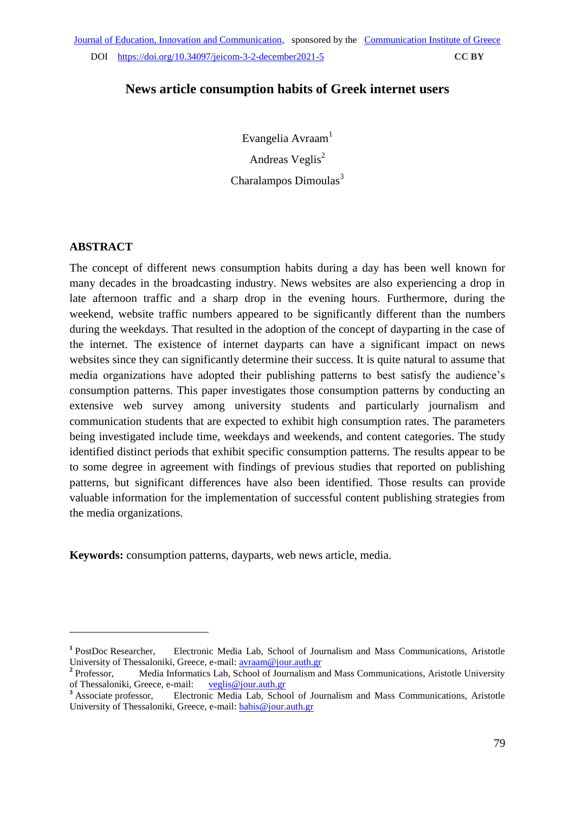# **News article consumption habits of Greek internet users**

Evangelia Avraam<sup>1</sup> Andreas Veglis<sup>2</sup> Charalampos Dimoulas $3$ 

### **ABSTRACT**

1

The concept of different news consumption habits during a day has been well known for many decades in the broadcasting industry. News websites are also experiencing a drop in late afternoon traffic and a sharp drop in the evening hours. Furthermore, during the weekend, website traffic numbers appeared to be significantly different than the numbers during the weekdays. That resulted in the adoption of the concept of dayparting in the case of the internet. The existence of internet dayparts can have a significant impact on news websites since they can significantly determine their success. It is quite natural to assume that media organizations have adopted their publishing patterns to best satisfy the audience's consumption patterns. This paper investigates those consumption patterns by conducting an extensive web survey among university students and particularly journalism and communication students that are expected to exhibit high consumption rates. The parameters being investigated include time, weekdays and weekends, and content categories. The study identified distinct periods that exhibit specific consumption patterns. The results appear to be to some degree in agreement with findings of previous studies that reported on publishing patterns, but significant differences have also been identified. Those results can provide valuable information for the implementation of successful content publishing strategies from the media organizations.

**Keywords:** consumption patterns, dayparts, web news article, media.

<sup>&</sup>lt;sup>1</sup> PostDoc Researcher, Electronic Media Lab, School of Journalism and Mass Communications, Aristotle University of Thessaloniki, Greece, e-mail: [avraam@jour.auth.gr](mailto:avraam@jour.auth.gr) 

<sup>&</sup>lt;sup>2</sup> Professor. Media Informatics Lab, School of Journalism and Mass Communications, Aristotle University of Thessaloniki, Greece, e-mail: [veglis@jour.auth.gr](mailto:veglis@jour.auth.gr) <br><sup>3</sup> Associate professor, Electronic Media Lab, Scho

Electronic Media Lab, School of Journalism and Mass Communications, Aristotle University of Thessaloniki, Greece, e-mail: [babis@jour.auth.gr](mailto:babis@jour.auth.gr)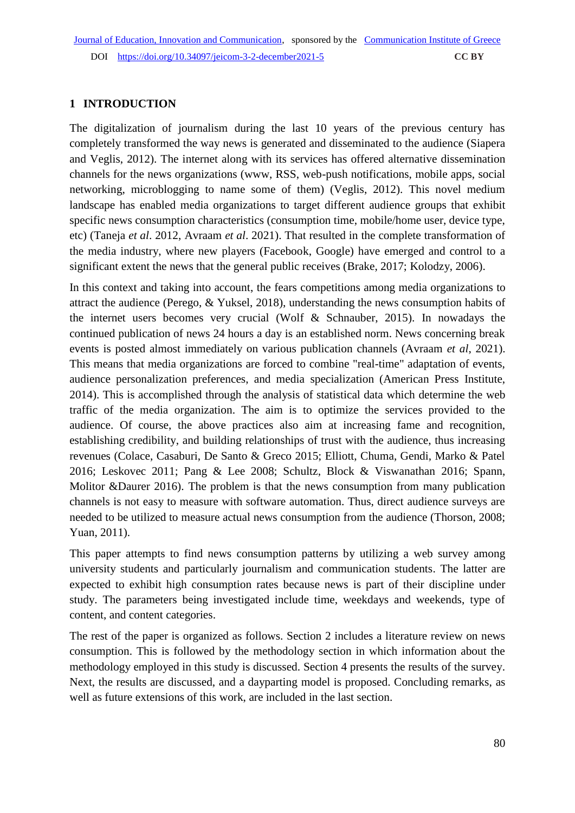### **1 INTRODUCTION**

The digitalization of journalism during the last 10 years of the previous century has completely transformed the way news is generated and disseminated to the audience (Siapera and Veglis, 2012). The internet along with its services has offered alternative dissemination channels for the news organizations (www, RSS, web-push notifications, mobile apps, social networking, microblogging to name some of them) (Veglis, 2012). This novel medium landscape has enabled media organizations to target different audience groups that exhibit specific news consumption characteristics (consumption time, mobile/home user, device type, etc) (Taneja *et al*. 2012, Avraam *et al*. 2021). That resulted in the complete transformation of the media industry, where new players (Facebook, Google) have emerged and control to a significant extent the news that the general public receives (Brake, 2017; Kolodzy, 2006).

In this context and taking into account, the fears competitions among media organizations to attract the audience (Perego, & Yuksel, 2018), understanding the news consumption habits of the internet users becomes very crucial (Wolf & Schnauber, 2015). In nowadays the continued publication of news 24 hours a day is an established norm. News concerning break events is posted almost immediately on various publication channels (Avraam *et al*, 2021). This means that media organizations are forced to combine "real-time" adaptation of events, audience personalization preferences, and media specialization (American Press Institute, 2014). This is accomplished through the analysis of statistical data which determine the web traffic of the media organization. The aim is to optimize the services provided to the audience. Of course, the above practices also aim at increasing fame and recognition, establishing credibility, and building relationships of trust with the audience, thus increasing revenues (Colace, Casaburi, De Santo & Greco 2015; Elliott, Chuma, Gendi, Marko & Patel 2016; Leskovec 2011; Pang & Lee 2008; Schultz, Block & Viswanathan 2016; Spann, Molitor &Daurer 2016). The problem is that the news consumption from many publication channels is not easy to measure with software automation. Thus, direct audience surveys are needed to be utilized to measure actual news consumption from the audience (Thorson, 2008; Yuan, 2011).

This paper attempts to find news consumption patterns by utilizing a web survey among university students and particularly journalism and communication students. The latter are expected to exhibit high consumption rates because news is part of their discipline under study. The parameters being investigated include time, weekdays and weekends, type of content, and content categories.

The rest of the paper is organized as follows. Section 2 includes a literature review on news consumption. This is followed by the methodology section in which information about the methodology employed in this study is discussed. Section 4 presents the results of the survey. Next, the results are discussed, and a dayparting model is proposed. Concluding remarks, as well as future extensions of this work, are included in the last section.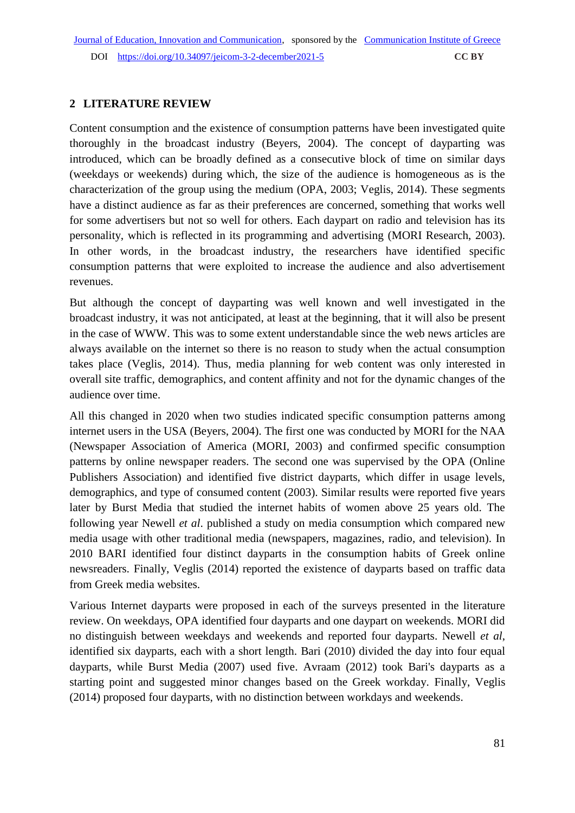### **2 LITERATURE REVIEW**

Content consumption and the existence of consumption patterns have been investigated quite thoroughly in the broadcast industry (Beyers, 2004). The concept of dayparting was introduced, which can be broadly defined as a consecutive block of time on similar days (weekdays or weekends) during which, the size of the audience is homogeneous as is the characterization of the group using the medium (OPA, 2003; Veglis, 2014). These segments have a distinct audience as far as their preferences are concerned, something that works well for some advertisers but not so well for others. Each daypart on radio and television has its personality, which is reflected in its programming and advertising (MORI Research, 2003). In other words, in the broadcast industry, the researchers have identified specific consumption patterns that were exploited to increase the audience and also advertisement revenues.

But although the concept of dayparting was well known and well investigated in the broadcast industry, it was not anticipated, at least at the beginning, that it will also be present in the case of WWW. This was to some extent understandable since the web news articles are always available on the internet so there is no reason to study when the actual consumption takes place (Veglis, 2014). Thus, media planning for web content was only interested in overall site traffic, demographics, and content affinity and not for the dynamic changes of the audience over time.

All this changed in 2020 when two studies indicated specific consumption patterns among internet users in the USA (Beyers, 2004). The first one was conducted by MORI for the NAA (Newspaper Association of America (MORI, 2003) and confirmed specific consumption patterns by online newspaper readers. The second one was supervised by the OPA (Online Publishers Association) and identified five district dayparts, which differ in usage levels, demographics, and type of consumed content (2003). Similar results were reported five years later by Burst Media that studied the internet habits of women above 25 years old. The following year Newell *et al*. published a study on media consumption which compared new media usage with other traditional media (newspapers, magazines, radio, and television). In 2010 BARI identified four distinct dayparts in the consumption habits of Greek online newsreaders. Finally, Veglis (2014) reported the existence of dayparts based on traffic data from Greek media websites.

Various Internet dayparts were proposed in each of the surveys presented in the literature review. On weekdays, OPA identified four dayparts and one daypart on weekends. MORI did no distinguish between weekdays and weekends and reported four dayparts. Newell *et al*, identified six dayparts, each with a short length. Bari (2010) divided the day into four equal dayparts, while Burst Media (2007) used five. Avraam (2012) took Bari's dayparts as a starting point and suggested minor changes based on the Greek workday. Finally, Veglis (2014) proposed four dayparts, with no distinction between workdays and weekends.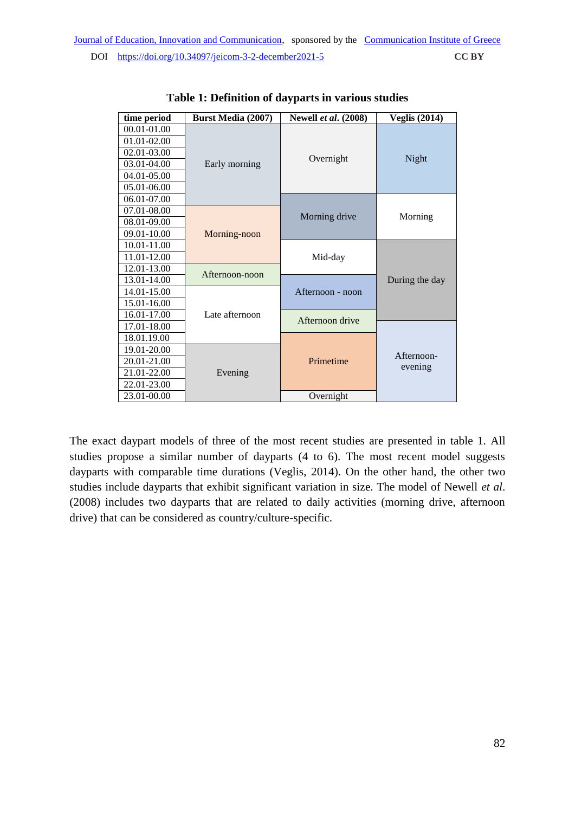| time period | <b>Burst Media (2007)</b> | <b>Newell et al.</b> (2008) | <b>Veglis (2014)</b> |
|-------------|---------------------------|-----------------------------|----------------------|
| 00.01-01.00 | Early morning             | Overnight                   | Night                |
| 01.01-02.00 |                           |                             |                      |
| 02.01-03.00 |                           |                             |                      |
| 03.01-04.00 |                           |                             |                      |
| 04.01-05.00 |                           |                             |                      |
| 05.01-06.00 |                           |                             |                      |
| 06.01-07.00 |                           |                             | Morning              |
| 07.01-08.00 |                           |                             |                      |
| 08.01-09.00 |                           | Morning drive               |                      |
| 09.01-10.00 | Morning-noon              |                             |                      |
| 10.01-11.00 |                           |                             |                      |
| 11.01-12.00 |                           | Mid-day                     |                      |
| 12.01-13.00 | Afternoon-noon            |                             |                      |
| 13.01-14.00 |                           | Afternoon - noon            | During the day       |
| 14.01-15.00 |                           |                             |                      |
| 15.01-16.00 |                           |                             |                      |
| 16.01-17.00 | Late afternoon            | Afternoon drive             |                      |
| 17.01-18.00 |                           |                             |                      |
| 18.01.19.00 |                           |                             |                      |
| 19.01-20.00 |                           |                             | Afternoon-           |
| 20.01-21.00 |                           | Primetime                   | evening              |
| 21.01-22.00 | Evening                   |                             |                      |
| 22.01-23.00 |                           |                             |                      |
| 23.01-00.00 |                           | Overnight                   |                      |

**Table 1: Definition of dayparts in various studies**

The exact daypart models of three of the most recent studies are presented in table 1. All studies propose a similar number of dayparts (4 to 6). The most recent model suggests dayparts with comparable time durations (Veglis, 2014). On the other hand, the other two studies include dayparts that exhibit significant variation in size. The model of Newell *et al*. (2008) includes two dayparts that are related to daily activities (morning drive, afternoon drive) that can be considered as country/culture-specific.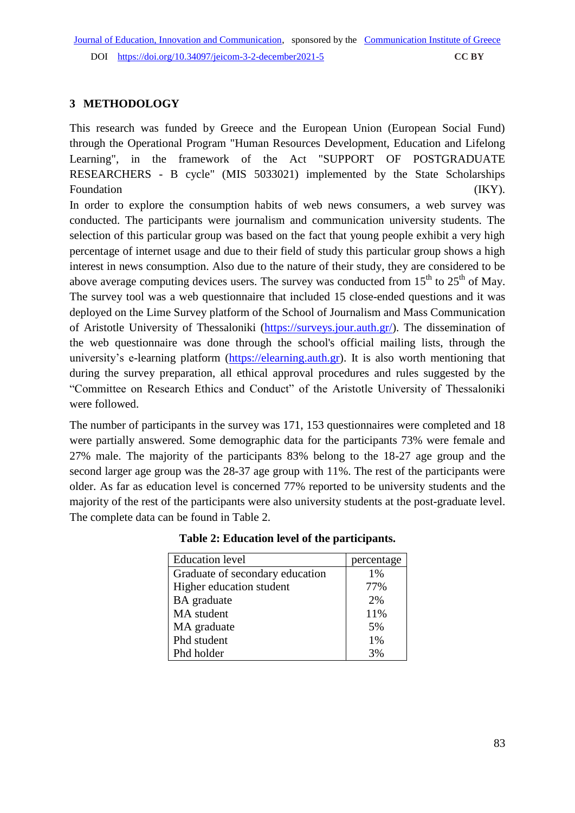## **3 METHODOLOGY**

This research was funded by Greece and the European Union (European Social Fund) through the Operational Program "Human Resources Development, Education and Lifelong Learning", in the framework of the Act "SUPPORT OF POSTGRADUATE RESEARCHERS - B cycle" (MIS 5033021) implemented by the State Scholarships Foundation (IKY).

In order to explore the consumption habits of web news consumers, a web survey was conducted. The participants were journalism and communication university students. The selection of this particular group was based on the fact that young people exhibit a very high percentage of internet usage and due to their field of study this particular group shows a high interest in news consumption. Also due to the nature of their study, they are considered to be above average computing devices users. The survey was conducted from  $15<sup>th</sup>$  to  $25<sup>th</sup>$  of May. The survey tool was a web questionnaire that included 15 close-ended questions and it was deployed on the Lime Survey platform of the School of Journalism and Mass Communication of Aristotle University of Thessaloniki [\(https://surveys.jour.auth.gr/\)](https://surveys.jour.auth.gr/). The dissemination of the web questionnaire was done through the school's official mailing lists, through the university's e-learning platform [\(https://elearning.auth.gr\)](https://elearning.auth.gr/). It is also worth mentioning that during the survey preparation, all ethical approval procedures and rules suggested by the "Committee on Research Ethics and Conduct" of the Aristotle University of Thessaloniki were followed.

The number of participants in the survey was 171, 153 questionnaires were completed and 18 were partially answered. Some demographic data for the participants 73% were female and 27% male. The majority of the participants 83% belong to the 18-27 age group and the second larger age group was the 28-37 age group with 11%. The rest of the participants were older. As far as education level is concerned 77% reported to be university students and the majority of the rest of the participants were also university students at the post-graduate level. The complete data can be found in Table 2.

| <b>Education</b> level          | percentage |
|---------------------------------|------------|
| Graduate of secondary education | $1\%$      |
| Higher education student        | 77%        |
| BA graduate                     | 2%         |
| MA student                      | 11%        |
| MA graduate                     | 5%         |
| Phd student                     | 1%         |
| Phd holder                      | 3%         |

**Table 2: Education level of the participants.**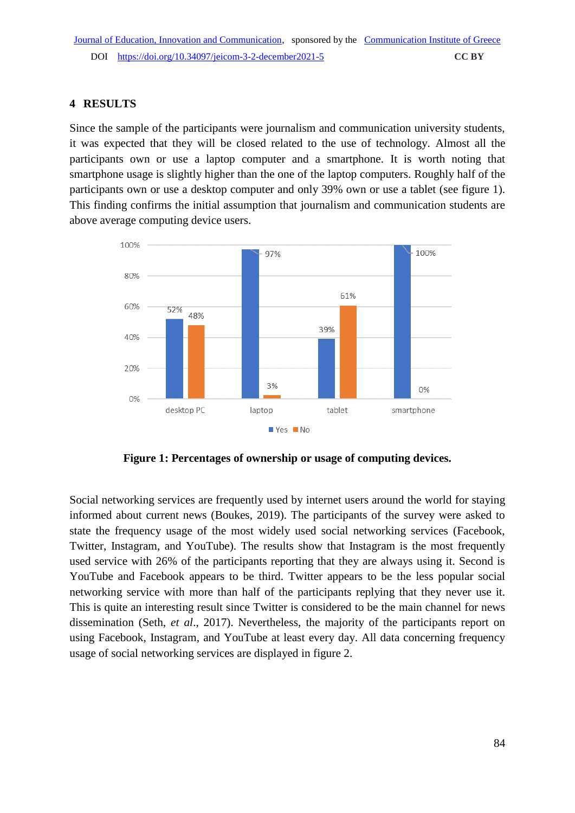## **4 RESULTS**

Since the sample of the participants were journalism and communication university students, it was expected that they will be closed related to the use of technology. Almost all the participants own or use a laptop computer and a smartphone. It is worth noting that smartphone usage is slightly higher than the one of the laptop computers. Roughly half of the participants own or use a desktop computer and only 39% own or use a tablet (see figure 1). This finding confirms the initial assumption that journalism and communication students are above average computing device users.



**Figure 1: Percentages of ownership or usage of computing devices.**

Social networking services are frequently used by internet users around the world for staying informed about current news (Boukes, 2019). The participants of the survey were asked to state the frequency usage of the most widely used social networking services (Facebook, Twitter, Instagram, and YouTube). The results show that Instagram is the most frequently used service with 26% of the participants reporting that they are always using it. Second is YouTube and Facebook appears to be third. Twitter appears to be the less popular social networking service with more than half of the participants replying that they never use it. This is quite an interesting result since Twitter is considered to be the main channel for news dissemination (Seth, *et al*., 2017). Nevertheless, the majority of the participants report on using Facebook, Instagram, and YouTube at least every day. All data concerning frequency usage of social networking services are displayed in figure 2.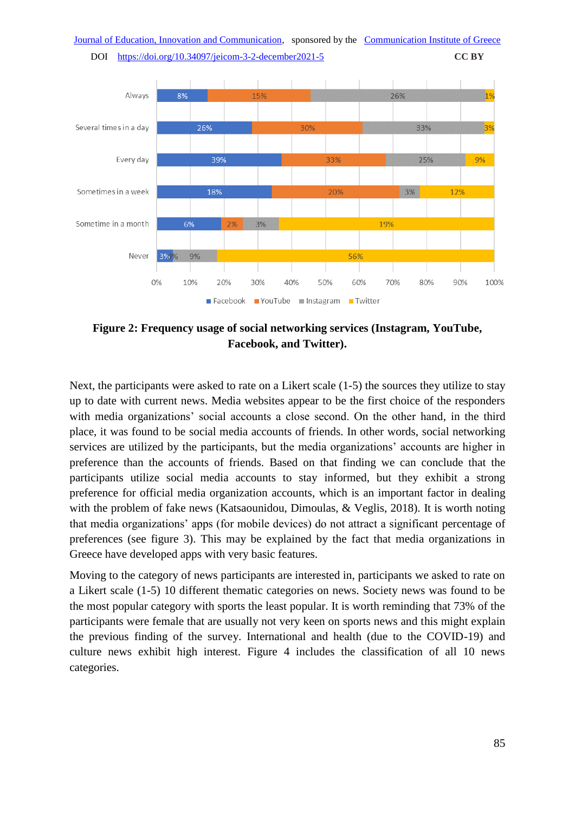

**Figure 2: Frequency usage of social networking services (Instagram, YouTube, Facebook, and Twitter).**

Next, the participants were asked to rate on a Likert scale (1-5) the sources they utilize to stay up to date with current news. Media websites appear to be the first choice of the responders with media organizations' social accounts a close second. On the other hand, in the third place, it was found to be social media accounts of friends. In other words, social networking services are utilized by the participants, but the media organizations' accounts are higher in preference than the accounts of friends. Based on that finding we can conclude that the participants utilize social media accounts to stay informed, but they exhibit a strong preference for official media organization accounts, which is an important factor in dealing with the problem of fake news (Katsaounidou, Dimoulas, & Veglis, 2018). It is worth noting that media organizations' apps (for mobile devices) do not attract a significant percentage of preferences (see figure 3). This may be explained by the fact that media organizations in Greece have developed apps with very basic features.

Moving to the category of news participants are interested in, participants we asked to rate on a Likert scale (1-5) 10 different thematic categories on news. Society news was found to be the most popular category with sports the least popular. It is worth reminding that 73% of the participants were female that are usually not very keen on sports news and this might explain the previous finding of the survey. International and health (due to the COVID-19) and culture news exhibit high interest. Figure 4 includes the classification of all 10 news categories.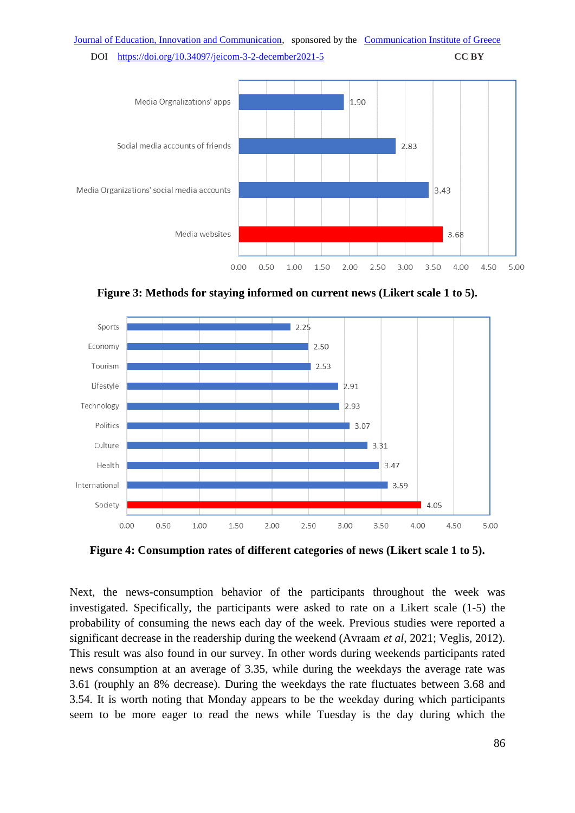

**Figure 3: Methods for staying informed on current news (Likert scale 1 to 5).**



**Figure 4: Consumption rates of different categories of news (Likert scale 1 to 5).**

Next, the news-consumption behavior of the participants throughout the week was investigated. Specifically, the participants were asked to rate on a Likert scale (1-5) the probability of consuming the news each day of the week. Previous studies were reported a significant decrease in the readership during the weekend (Avraam *et al*, 2021; Veglis, 2012). This result was also found in our survey. In other words during weekends participants rated news consumption at an average of 3.35, while during the weekdays the average rate was 3.61 (rοuphly an 8% decrease). During the weekdays the rate fluctuates between 3.68 and 3.54. It is worth noting that Monday appears to be the weekday during which participants seem to be more eager to read the news while Tuesday is the day during which the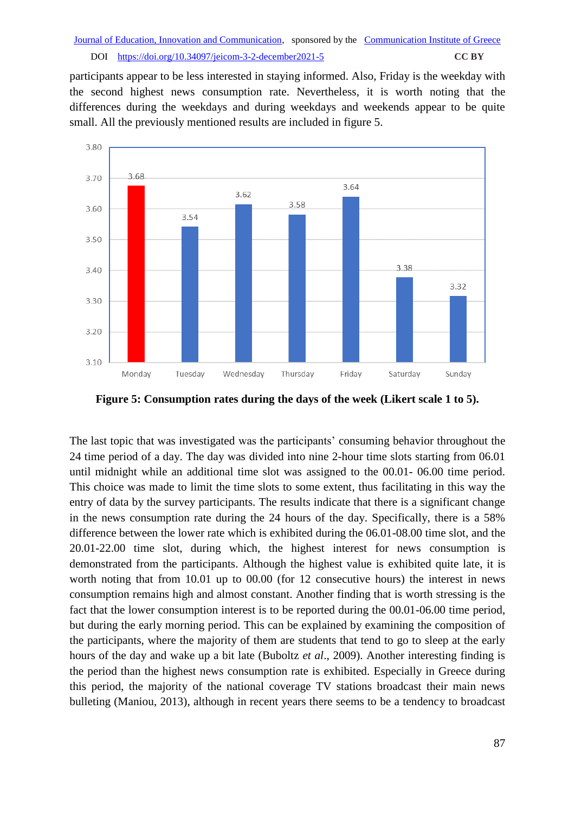participants appear to be less interested in staying informed. Also, Friday is the weekday with the second highest news consumption rate. Nevertheless, it is worth noting that the differences during the weekdays and during weekdays and weekends appear to be quite small. All the previously mentioned results are included in figure 5.



**Figure 5: Consumption rates during the days of the week (Likert scale 1 to 5).**

The last topic that was investigated was the participants' consuming behavior throughout the 24 time period of a day. The day was divided into nine 2-hour time slots starting from 06.01 until midnight while an additional time slot was assigned to the 00.01- 06.00 time period. This choice was made to limit the time slots to some extent, thus facilitating in this way the entry of data by the survey participants. The results indicate that there is a significant change in the news consumption rate during the 24 hours of the day. Specifically, there is a 58% difference between the lower rate which is exhibited during the 06.01-08.00 time slot, and the 20.01-22.00 time slot, during which, the highest interest for news consumption is demonstrated from the participants. Although the highest value is exhibited quite late, it is worth noting that from 10.01 up to 00.00 (for 12 consecutive hours) the interest in news consumption remains high and almost constant. Another finding that is worth stressing is the fact that the lower consumption interest is to be reported during the 00.01-06.00 time period, but during the early morning period. This can be explained by examining the composition of the participants, where the majority of them are students that tend to go to sleep at the early hours of the day and wake up a bit late (Buboltz *et al*., 2009). Another interesting finding is the period than the highest news consumption rate is exhibited. Especially in Greece during this period, the majority of the national coverage TV stations broadcast their main news bulleting (Maniou, 2013), although in recent years there seems to be a tendency to broadcast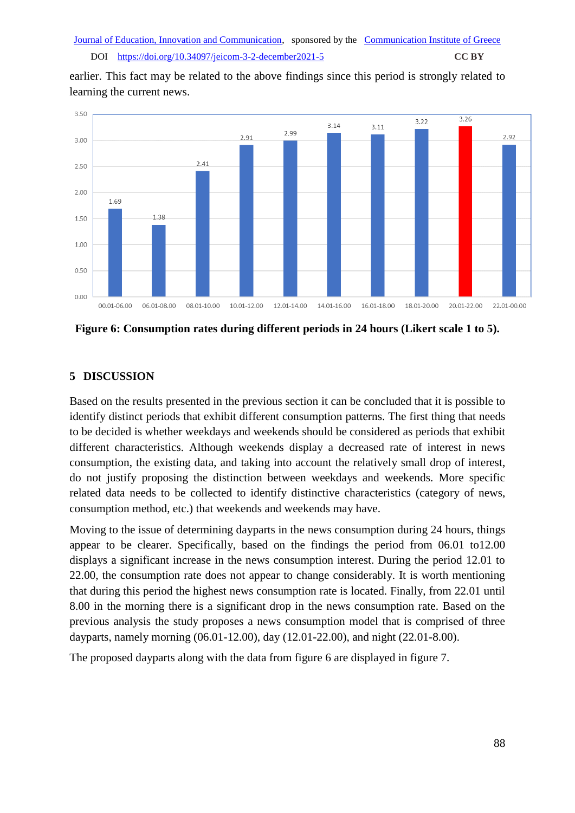earlier. This fact may be related to the above findings since this period is strongly related to learning the current news.



**Figure 6: Consumption rates during different periods in 24 hours (Likert scale 1 to 5).**

# **5 DISCUSSION**

Based on the results presented in the previous section it can be concluded that it is possible to identify distinct periods that exhibit different consumption patterns. The first thing that needs to be decided is whether weekdays and weekends should be considered as periods that exhibit different characteristics. Although weekends display a decreased rate of interest in news consumption, the existing data, and taking into account the relatively small drop of interest, do not justify proposing the distinction between weekdays and weekends. More specific related data needs to be collected to identify distinctive characteristics (category of news, consumption method, etc.) that weekends and weekends may have.

Moving to the issue of determining dayparts in the news consumption during 24 hours, things appear to be clearer. Specifically, based on the findings the period from 06.01 to12.00 displays a significant increase in the news consumption interest. During the period 12.01 to 22.00, the consumption rate does not appear to change considerably. It is worth mentioning that during this period the highest news consumption rate is located. Finally, from 22.01 until 8.00 in the morning there is a significant drop in the news consumption rate. Based on the previous analysis the study proposes a news consumption model that is comprised of three dayparts, namely morning (06.01-12.00), day (12.01-22.00), and night (22.01-8.00).

The proposed dayparts along with the data from figure 6 are displayed in figure 7.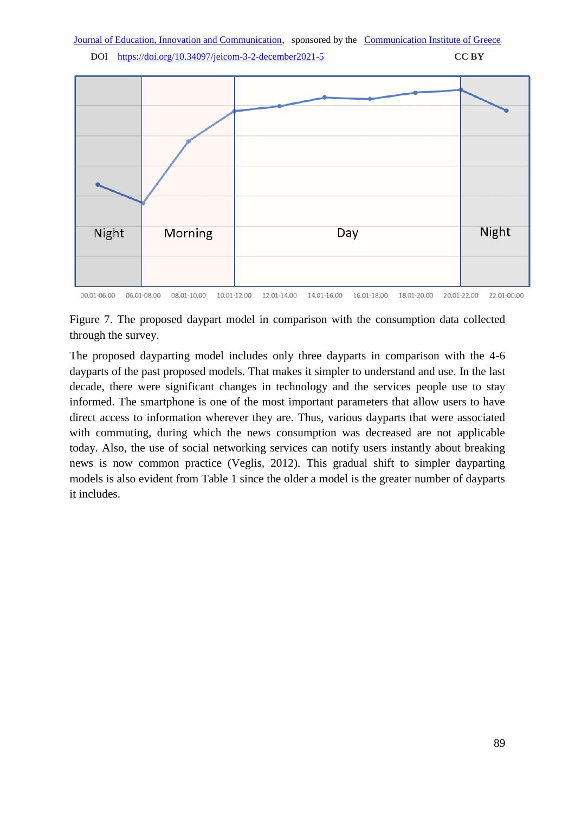```
DOI https://doi.org/10.34097/jeicom-3-2-december2021-5 CC BY
```


Figure 7. The proposed daypart model in comparison with the consumption data collected through the survey.

The proposed dayparting model includes only three dayparts in comparison with the 4-6 dayparts of the past proposed models. That makes it simpler to understand and use. In the last decade, there were significant changes in technology and the services people use to stay informed. The smartphone is one of the most important parameters that allow users to have direct access to information wherever they are. Thus, various dayparts that were associated with commuting, during which the news consumption was decreased are not applicable today. Also, the use of social networking services can notify users instantly about breaking news is now common practice (Veglis, 2012). This gradual shift to simpler dayparting models is also evident from Table 1 since the older a model is the greater number of dayparts it includes.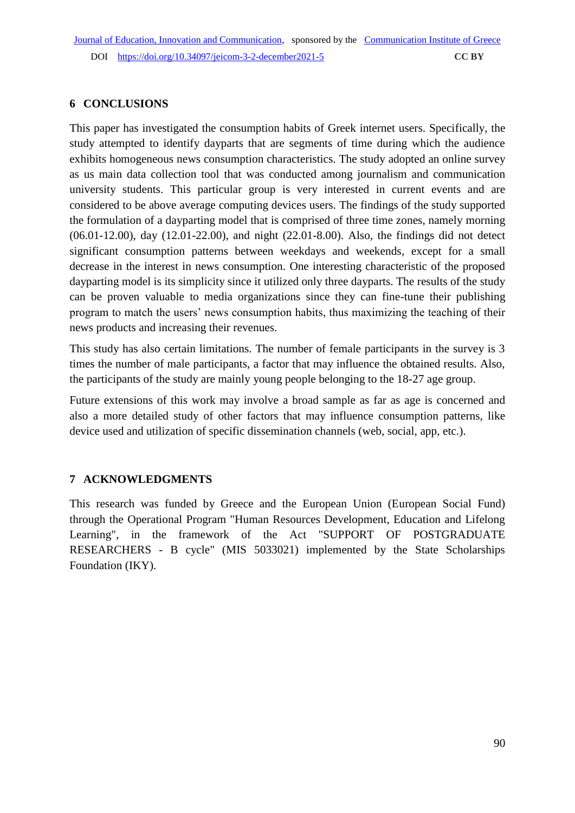# **6 CONCLUSIONS**

This paper has investigated the consumption habits of Greek internet users. Specifically, the study attempted to identify dayparts that are segments of time during which the audience exhibits homogeneous news consumption characteristics. The study adopted an online survey as us main data collection tool that was conducted among journalism and communication university students. This particular group is very interested in current events and are considered to be above average computing devices users. The findings of the study supported the formulation of a dayparting model that is comprised of three time zones, namely morning (06.01-12.00), day (12.01-22.00), and night (22.01-8.00). Also, the findings did not detect significant consumption patterns between weekdays and weekends, except for a small decrease in the interest in news consumption. One interesting characteristic of the proposed dayparting model is its simplicity since it utilized only three dayparts. The results of the study can be proven valuable to media organizations since they can fine-tune their publishing program to match the users' news consumption habits, thus maximizing the teaching of their news products and increasing their revenues.

This study has also certain limitations. The number of female participants in the survey is 3 times the number of male participants, a factor that may influence the obtained results. Also, the participants of the study are mainly young people belonging to the 18-27 age group.

Future extensions of this work may involve a broad sample as far as age is concerned and also a more detailed study of other factors that may influence consumption patterns, like device used and utilization of specific dissemination channels (web, social, app, etc.).

# **7 ACKNOWLEDGMENTS**

This research was funded by Greece and the European Union (European Social Fund) through the Operational Program "Human Resources Development, Education and Lifelong Learning", in the framework of the Act "SUPPORT OF POSTGRADUATE RESEARCHERS - B cycle" (MIS 5033021) implemented by the State Scholarships Foundation (IKY).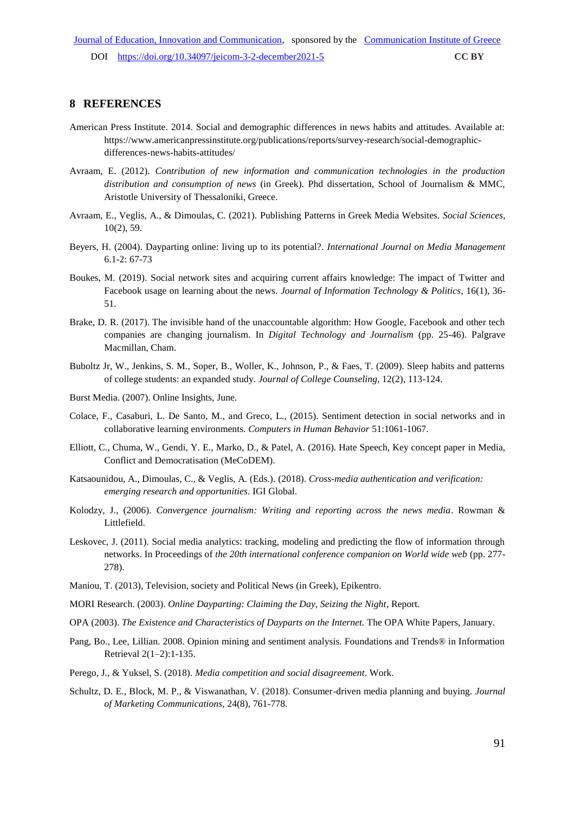### **8 REFERENCES**

- American Press Institute. 2014. Social and demographic differences in news habits and attitudes. Available at: https://www.americanpressinstitute.org/publications/reports/survey-research/social-demographicdifferences-news-habits-attitudes/
- Avraam, E. (2012). *Contribution of new information and communication technologies in the production distribution and consumption of news* (in Greek). Phd dissertation, School of Journalism & MMC, Aristotle University of Thessaloniki, Greece.
- Avraam, E., Veglis, A., & Dimoulas, C. (2021). Publishing Patterns in Greek Media Websites. *Social Sciences*, 10(2), 59.
- Beyers, H. (2004). Dayparting online: living up to its potential?. *International Journal on Media Management* 6.1-2: 67-73
- Boukes, M. (2019). Social network sites and acquiring current affairs knowledge: The impact of Twitter and Facebook usage on learning about the news. *Journal of Information Technology & Politics*, 16(1), 36- 51.
- Brake, D. R. (2017). The invisible hand of the unaccountable algorithm: How Google, Facebook and other tech companies are changing journalism. In *Digital Technology and Journalism* (pp. 25-46). Palgrave Macmillan, Cham.
- Buboltz Jr, W., Jenkins, S. M., Soper, B., Woller, K., Johnson, P., & Faes, T. (2009). Sleep habits and patterns of college students: an expanded study. *Journal of College Counseling*, 12(2), 113-124.
- Burst Media. (2007). Online Insights, June.
- Colace, F., Casaburi, L. De Santo, M., and Greco, L., (2015). Sentiment detection in social networks and in collaborative learning environments. *Computers in Human Behavior* 51:1061-1067.
- Elliott, C., Chuma, W., Gendi, Y. E., Marko, D., & Patel, A. (2016). Hate Speech, Key concept paper in Media, Conflict and Democratisation (MeCoDEM).
- Katsaounidou, A., Dimoulas, C., & Veglis, A. (Eds.). (2018). *Cross-media authentication and verification: emerging research and opportunities*. IGI Global.
- Kolodzy, J., (2006). *Convergence journalism: Writing and reporting across the news media*. Rowman & Littlefield.
- Leskovec, J. (2011). Social media analytics: tracking, modeling and predicting the flow of information through networks. In Proceedings of *the 20th international conference companion on World wide web* (pp. 277- 278).
- Maniou, T. (2013), Television, society and Political News (in Greek), Epikentro.
- MORI Research. (2003). *Online Dayparting: Claiming the Day, Seizing the Night*, Report.
- OPA (2003). *The Existence and Characteristics of Dayparts on the Internet.* The OPA White Papers, January.
- Pang, Bo., Lee, Lillian. 2008. Opinion mining and sentiment analysis. Foundations and Trends® in Information Retrieval 2(1–2):1-135.
- Perego, J., & Yuksel, S. (2018). *Media competition and social disagreement*. Work.
- Schultz, D. E., Block, M. P., & Viswanathan, V. (2018). Consumer-driven media planning and buying. *Journal of Marketing Communications*, 24(8), 761-778.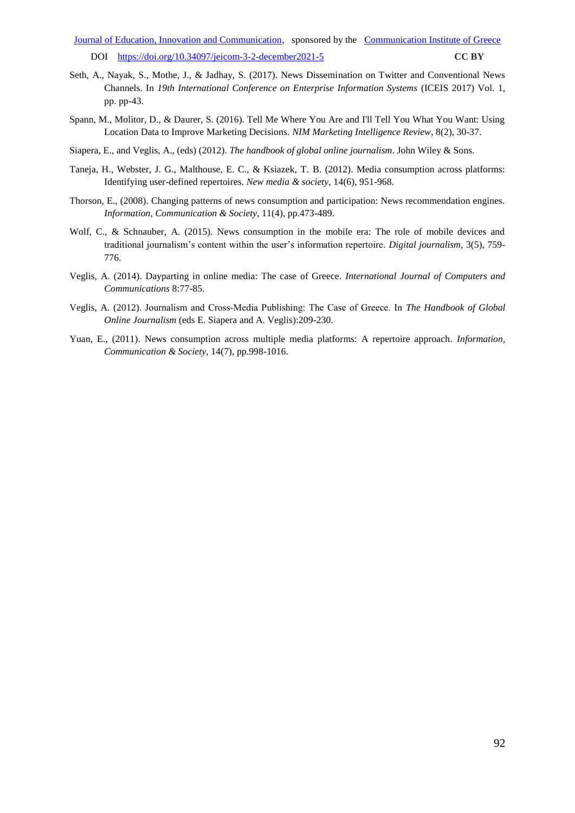- Seth, A., Nayak, S., Mothe, J., & Jadhay, S. (2017). News Dissemination on Twitter and Conventional News Channels. In *19th International Conference on Enterprise Information Systems* (ICEIS 2017) Vol. 1, pp. pp-43.
- Spann, M., Molitor, D., & Daurer, S. (2016). Tell Me Where You Are and I'll Tell You What You Want: Using Location Data to Improve Marketing Decisions. *NIM Marketing Intelligence Review*, 8(2), 30-37.
- Siapera, E., and Veglis, A., (eds) (2012). *The handbook of global online journalism*. John Wiley & Sons.
- Taneja, H., Webster, J. G., Malthouse, E. C., & Ksiazek, T. B. (2012). Media consumption across platforms: Identifying user-defined repertoires. *New media & society*, 14(6), 951-968.
- Thorson, E., (2008). Changing patterns of news consumption and participation: News recommendation engines. *Information, Communication & Society*, 11(4), pp.473-489.
- Wolf, C., & Schnauber, A. (2015). News consumption in the mobile era: The role of mobile devices and traditional journalism's content within the user's information repertoire. *Digital journalism*, 3(5), 759- 776.
- Veglis, A. (2014). Dayparting in online media: The case of Greece. *International Journal of Computers and Communications* 8:77-85.
- Veglis, A. (2012). Journalism and Cross‐Media Publishing: The Case of Greece. In *The Handbook of Global Online Journalism* (eds E. Siapera and A. Veglis):209-230.
- Yuan, E., (2011). News consumption across multiple media platforms: A repertoire approach*. Information, Communication & Society*, 14(7), pp.998-1016.